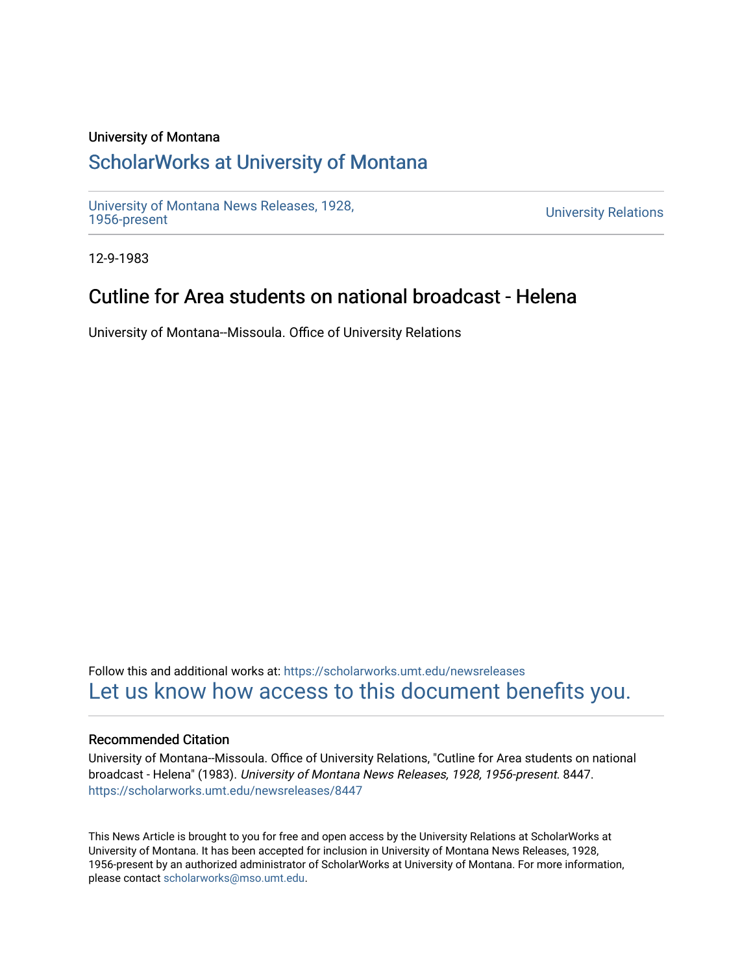#### University of Montana

### [ScholarWorks at University of Montana](https://scholarworks.umt.edu/)

[University of Montana News Releases, 1928,](https://scholarworks.umt.edu/newsreleases) 

**University Relations** 

12-9-1983

## Cutline for Area students on national broadcast - Helena

University of Montana--Missoula. Office of University Relations

Follow this and additional works at: [https://scholarworks.umt.edu/newsreleases](https://scholarworks.umt.edu/newsreleases?utm_source=scholarworks.umt.edu%2Fnewsreleases%2F8447&utm_medium=PDF&utm_campaign=PDFCoverPages) [Let us know how access to this document benefits you.](https://goo.gl/forms/s2rGfXOLzz71qgsB2) 

#### Recommended Citation

University of Montana--Missoula. Office of University Relations, "Cutline for Area students on national broadcast - Helena" (1983). University of Montana News Releases, 1928, 1956-present. 8447. [https://scholarworks.umt.edu/newsreleases/8447](https://scholarworks.umt.edu/newsreleases/8447?utm_source=scholarworks.umt.edu%2Fnewsreleases%2F8447&utm_medium=PDF&utm_campaign=PDFCoverPages) 

This News Article is brought to you for free and open access by the University Relations at ScholarWorks at University of Montana. It has been accepted for inclusion in University of Montana News Releases, 1928, 1956-present by an authorized administrator of ScholarWorks at University of Montana. For more information, please contact [scholarworks@mso.umt.edu.](mailto:scholarworks@mso.umt.edu)